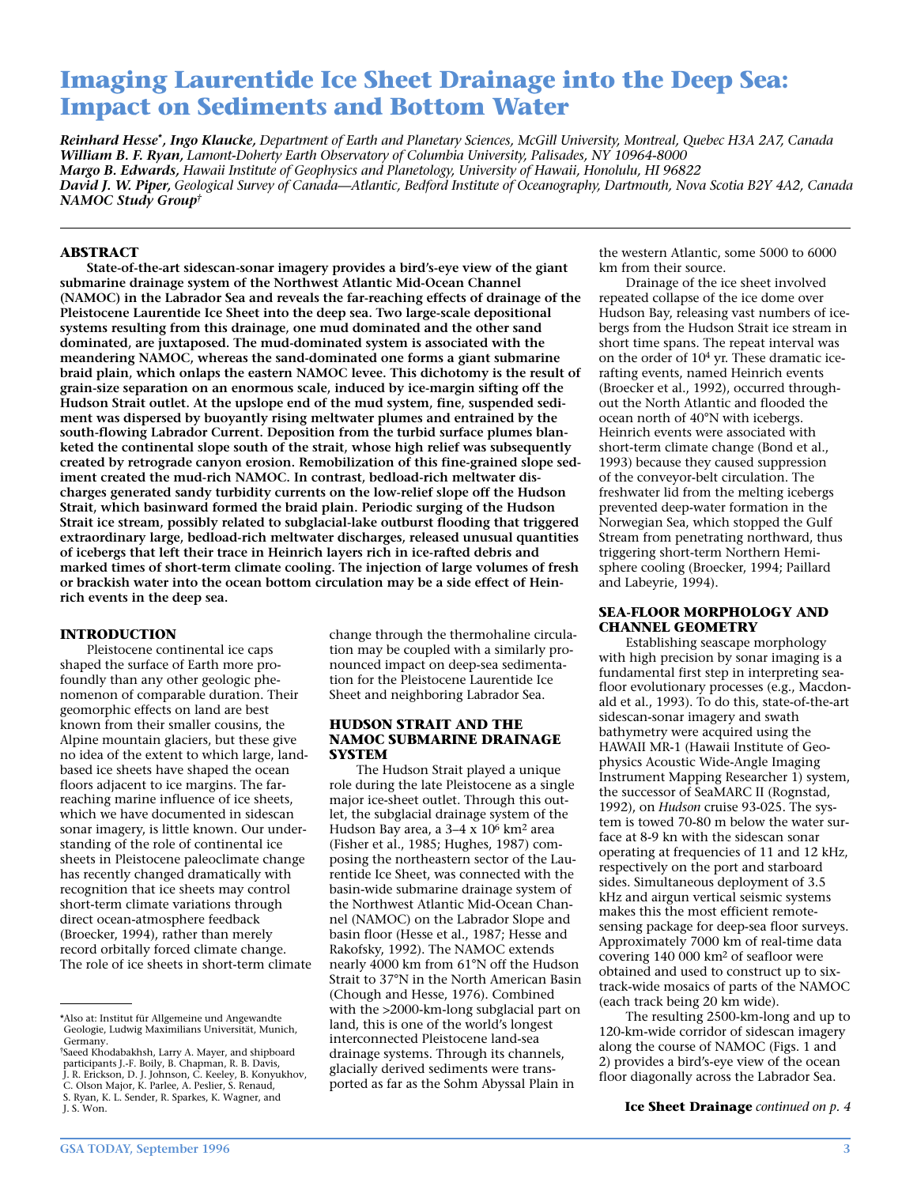## **Imaging Laurentide Ice Sheet Drainage into the Deep Sea: Impact on Sediments and Bottom Water**

*Reinhard Hesse\*, Ingo Klaucke, Department of Earth and Planetary Sciences, McGill University, Montreal, Quebec H3A 2A7, Canada William B. F. Ryan, Lamont-Doherty Earth Observatory of Columbia University, Palisades, NY 10964-8000 Margo B. Edwards, Hawaii Institute of Geophysics and Planetology, University of Hawaii, Honolulu, HI 96822 David J. W. Piper, Geological Survey of Canada—Atlantic, Bedford Institute of Oceanography, Dartmouth, Nova Scotia B2Y 4A2, Canada NAMOC Study Group†*

#### **ABSTRACT**

**State-of-the-art sidescan-sonar imagery provides a bird's-eye view of the giant submarine drainage system of the Northwest Atlantic Mid-Ocean Channel (NAMOC) in the Labrador Sea and reveals the far-reaching effects of drainage of the Pleistocene Laurentide Ice Sheet into the deep sea. Two large-scale depositional systems resulting from this drainage, one mud dominated and the other sand dominated, are juxtaposed. The mud-dominated system is associated with the meandering NAMOC, whereas the sand-dominated one forms a giant submarine braid plain, which onlaps the eastern NAMOC levee. This dichotomy is the result of grain-size separation on an enormous scale, induced by ice-margin sifting off the Hudson Strait outlet. At the upslope end of the mud system, fine, suspended sediment was dispersed by buoyantly rising meltwater plumes and entrained by the south-flowing Labrador Current. Deposition from the turbid surface plumes blanketed the continental slope south of the strait, whose high relief was subsequently created by retrograde canyon erosion. Remobilization of this fine-grained slope sediment created the mud-rich NAMOC. In contrast, bedload-rich meltwater discharges generated sandy turbidity currents on the low-relief slope off the Hudson Strait, which basinward formed the braid plain. Periodic surging of the Hudson Strait ice stream, possibly related to subglacial-lake outburst flooding that triggered extraordinary large, bedload-rich meltwater discharges, released unusual quantities of icebergs that left their trace in Heinrich layers rich in ice-rafted debris and marked times of short-term climate cooling. The injection of large volumes of fresh or brackish water into the ocean bottom circulation may be a side effect of Heinrich events in the deep sea.** 

#### **INTRODUCTION**

Pleistocene continental ice caps shaped the surface of Earth more profoundly than any other geologic phenomenon of comparable duration. Their geomorphic effects on land are best known from their smaller cousins, the Alpine mountain glaciers, but these give no idea of the extent to which large, landbased ice sheets have shaped the ocean floors adjacent to ice margins. The farreaching marine influence of ice sheets, which we have documented in sidescan sonar imagery, is little known. Our understanding of the role of continental ice sheets in Pleistocene paleoclimate change has recently changed dramatically with recognition that ice sheets may control short-term climate variations through direct ocean-atmosphere feedback (Broecker, 1994), rather than merely record orbitally forced climate change. The role of ice sheets in short-term climate change through the thermohaline circulation may be coupled with a similarly pronounced impact on deep-sea sedimentation for the Pleistocene Laurentide Ice Sheet and neighboring Labrador Sea.

#### **HUDSON STRAIT AND THE NAMOC SUBMARINE DRAINAGE SYSTEM**

The Hudson Strait played a unique role during the late Pleistocene as a single major ice-sheet outlet. Through this outlet, the subglacial drainage system of the Hudson Bay area, a 3–4 x 106 km2 area (Fisher et al., 1985; Hughes, 1987) composing the northeastern sector of the Laurentide Ice Sheet, was connected with the basin-wide submarine drainage system of the Northwest Atlantic Mid-Ocean Channel (NAMOC) on the Labrador Slope and basin floor (Hesse et al., 1987; Hesse and Rakofsky, 1992). The NAMOC extends nearly 4000 km from 61°N off the Hudson Strait to 37°N in the North American Basin (Chough and Hesse, 1976). Combined with the >2000-km-long subglacial part on land, this is one of the world's longest interconnected Pleistocene land-sea drainage systems. Through its channels, glacially derived sediments were transported as far as the Sohm Abyssal Plain in

the western Atlantic, some 5000 to 6000 km from their source.

Drainage of the ice sheet involved repeated collapse of the ice dome over Hudson Bay, releasing vast numbers of icebergs from the Hudson Strait ice stream in short time spans. The repeat interval was on the order of 104 yr. These dramatic icerafting events, named Heinrich events (Broecker et al., 1992), occurred throughout the North Atlantic and flooded the ocean north of 40°N with icebergs. Heinrich events were associated with short-term climate change (Bond et al., 1993) because they caused suppression of the conveyor-belt circulation. The freshwater lid from the melting icebergs prevented deep-water formation in the Norwegian Sea, which stopped the Gulf Stream from penetrating northward, thus triggering short-term Northern Hemisphere cooling (Broecker, 1994; Paillard and Labeyrie, 1994).

#### **SEA-FLOOR MORPHOLOGY AND CHANNEL GEOMETRY**

Establishing seascape morphology with high precision by sonar imaging is a fundamental first step in interpreting seafloor evolutionary processes (e.g., Macdonald et al., 1993). To do this, state-of-the-art sidescan-sonar imagery and swath bathymetry were acquired using the HAWAII MR-1 (Hawaii Institute of Geophysics Acoustic Wide-Angle Imaging Instrument Mapping Researcher 1) system, the successor of SeaMARC II (Rognstad, 1992), on *Hudson* cruise 93-025. The system is towed 70-80 m below the water surface at 8-9 kn with the sidescan sonar operating at frequencies of 11 and 12 kHz, respectively on the port and starboard sides. Simultaneous deployment of 3.5 kHz and airgun vertical seismic systems makes this the most efficient remotesensing package for deep-sea floor surveys. Approximately 7000 km of real-time data covering 140 000 km2 of seafloor were obtained and used to construct up to sixtrack-wide mosaics of parts of the NAMOC (each track being 20 km wide).

The resulting 2500-km-long and up to 120-km-wide corridor of sidescan imagery along the course of NAMOC (Figs. 1 and 2) provides a bird's-eye view of the ocean floor diagonally across the Labrador Sea.

**Ice Sheet Drainage** *continued on p. 4*

<sup>\*</sup>Also at: Institut für Allgemeine und Angewandte Geologie, Ludwig Maximilians Universität, Munich, Germany.

<sup>†</sup>Saeed Khodabakhsh, Larry A. Mayer, and shipboard participants J.-F. Boily, B. Chapman, R. B. Davis, J. R. Erickson, D. J. Johnson, C. Keeley, B. Konyukhov, C. Olson Major, K. Parlee, A. Peslier, S. Renaud, S. Ryan, K. L. Sender, R. Sparkes, K. Wagner, and J. S. Won.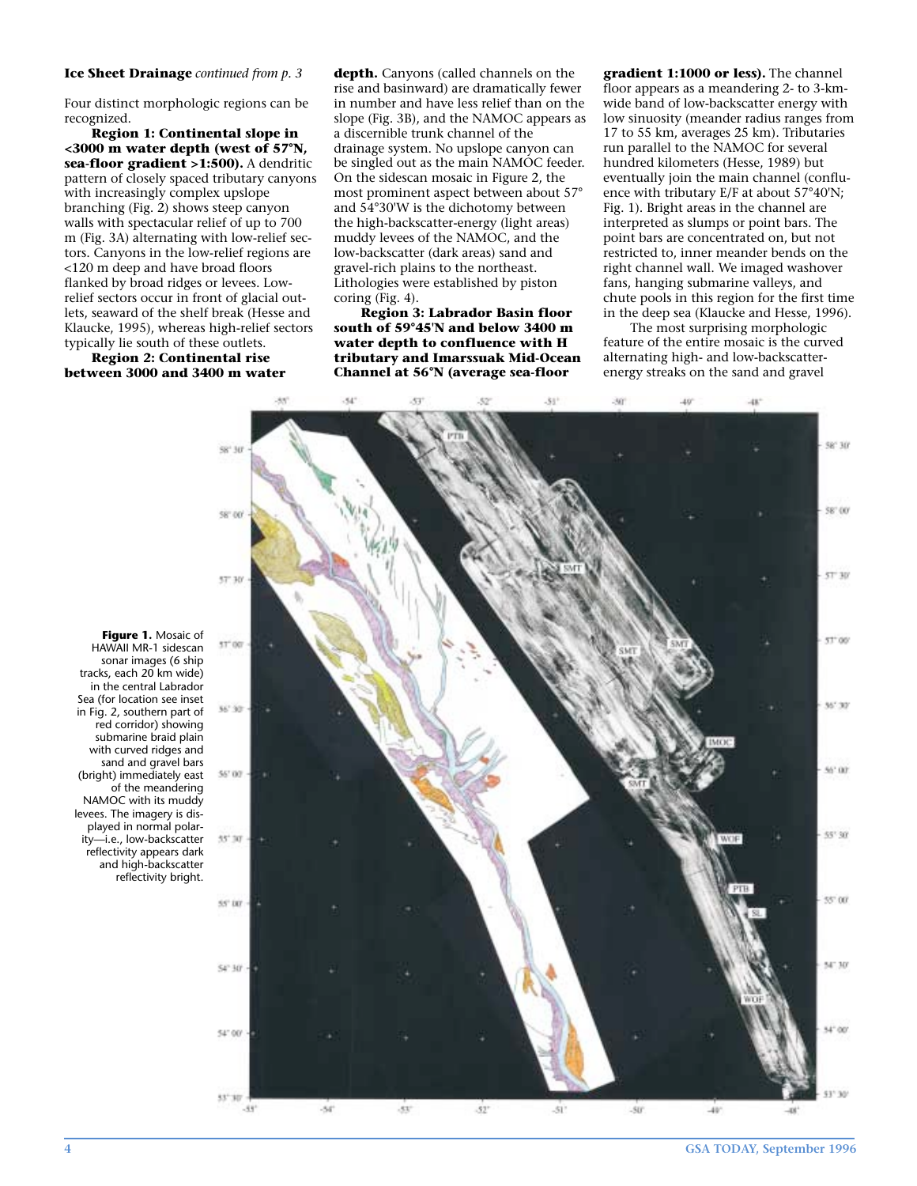#### **Ice Sheet Drainage** *continued from p. 3*

Four distinct morphologic regions can be recognized.

**Region 1: Continental slope in <3000 m water depth (west of 57°N, sea-floor gradient >1:500).** A dendritic pattern of closely spaced tributary canyons with increasingly complex upslope branching (Fig. 2) shows steep canyon walls with spectacular relief of up to 700 m (Fig. 3A) alternating with low-relief sectors. Canyons in the low-relief regions are <120 m deep and have broad floors flanked by broad ridges or levees. Lowrelief sectors occur in front of glacial outlets, seaward of the shelf break (Hesse and Klaucke, 1995), whereas high-relief sectors typically lie south of these outlets.

**Region 2: Continental rise between 3000 and 3400 m water** **depth.** Canyons (called channels on the rise and basinward) are dramatically fewer in number and have less relief than on the slope (Fig. 3B), and the NAMOC appears as a discernible trunk channel of the drainage system. No upslope canyon can be singled out as the main NAMOC feeder. On the sidescan mosaic in Figure 2, the most prominent aspect between about 57° and 54°30'W is the dichotomy between the high-backscatter-energy (light areas) muddy levees of the NAMOC, and the low-backscatter (dark areas) sand and gravel-rich plains to the northeast. Lithologies were established by piston coring (Fig. 4).

**Region 3: Labrador Basin floor south of 59°45'N and below 3400 m water depth to confluence with H tributary and Imarssuak Mid-Ocean Channel at 56°N (average sea-floor**

**gradient 1:1000 or less).** The channel floor appears as a meandering 2- to 3-kmwide band of low-backscatter energy with low sinuosity (meander radius ranges from 17 to 55 km, averages 25 km). Tributaries run parallel to the NAMOC for several hundred kilometers (Hesse, 1989) but eventually join the main channel (confluence with tributary E/F at about 57°40'N; Fig. 1). Bright areas in the channel are interpreted as slumps or point bars. The point bars are concentrated on, but not restricted to, inner meander bends on the right channel wall. We imaged washover fans, hanging submarine valleys, and chute pools in this region for the first time in the deep sea (Klaucke and Hesse, 1996).

The most surprising morphologic feature of the entire mosaic is the curved alternating high- and low-backscatterenergy streaks on the sand and gravel



**Figure 1.** Mosaic of HAWAII MR-1 sidescan sonar images (6 ship tracks, each 20 km wide) in the central Labrador Sea (for location see inset in Fig. 2, southern part of red corridor) showing submarine braid plain with curved ridges and sand and gravel bars (bright) immediately east of the meandering NAMOC with its muddy levees. The imagery is displayed in normal polarity—i.e., low-backscatter reflectivity appears dark and high-backscatter reflectivity bright.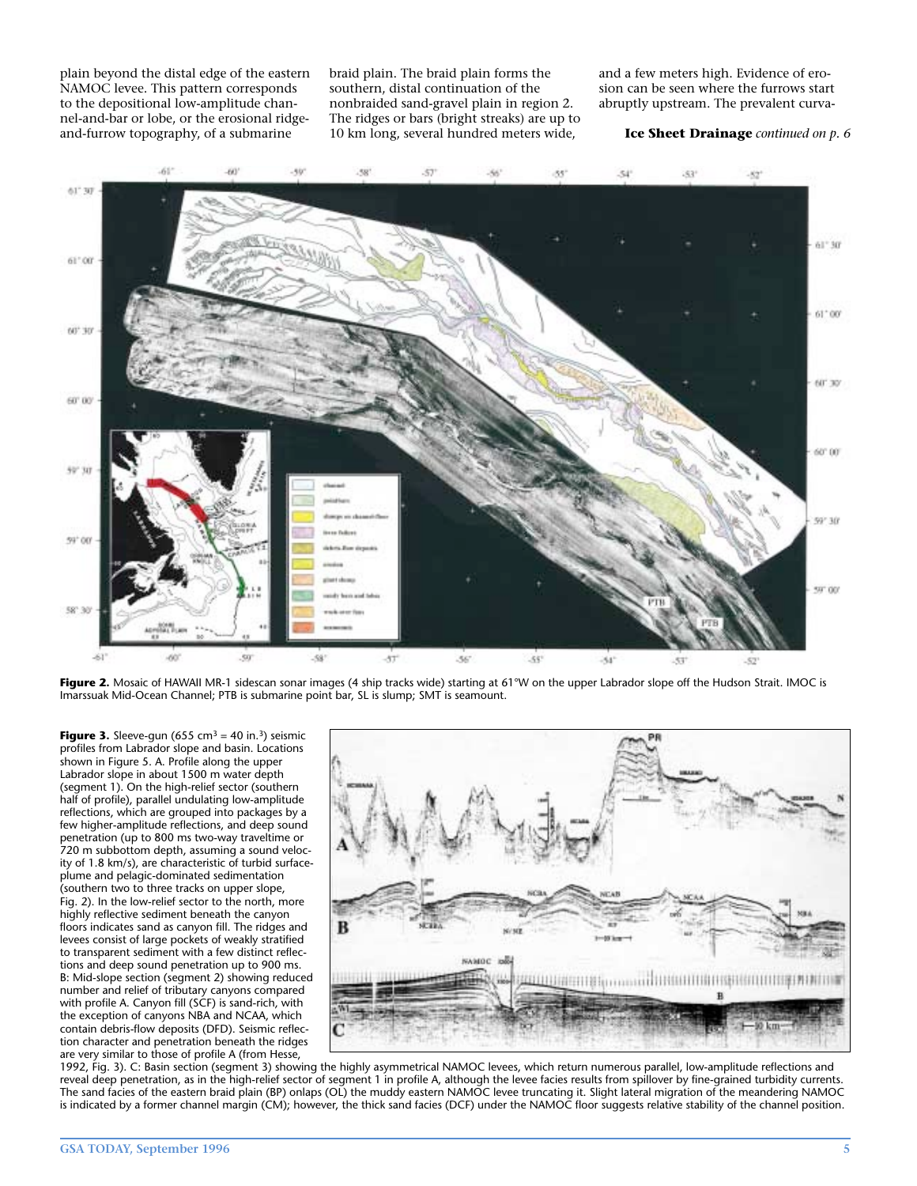plain beyond the distal edge of the eastern NAMOC levee. This pattern corresponds to the depositional low-amplitude channel-and-bar or lobe, or the erosional ridgeand-furrow topography, of a submarine

braid plain. The braid plain forms the southern, distal continuation of the nonbraided sand-gravel plain in region 2. The ridges or bars (bright streaks) are up to 10 km long, several hundred meters wide,

and a few meters high. Evidence of erosion can be seen where the furrows start abruptly upstream. The prevalent curva-

#### **Ice Sheet Drainage** *continued on p. 6*



Figure 2. Mosaic of HAWAII MR-1 sidescan sonar images (4 ship tracks wide) starting at 61°W on the upper Labrador slope off the Hudson Strait. IMOC is Imarssuak Mid-Ocean Channel; PTB is submarine point bar, SL is slump; SMT is seamount.

**Figure 3.** Sleeve-gun (655 cm<sup>3</sup> = 40 in.<sup>3</sup>) seismic profiles from Labrador slope and basin. Locations shown in Figure 5. A. Profile along the upper Labrador slope in about 1500 m water depth (segment 1). On the high-relief sector (southern half of profile), parallel undulating low-amplitude reflections, which are grouped into packages by a few higher-amplitude reflections, and deep sound penetration (up to 800 ms two-way traveltime or 720 m subbottom depth, assuming a sound velocity of 1.8 km/s), are characteristic of turbid surfaceplume and pelagic-dominated sedimentation (southern two to three tracks on upper slope, Fig. 2). In the low-relief sector to the north, more highly reflective sediment beneath the canyon floors indicates sand as canyon fill. The ridges and levees consist of large pockets of weakly stratified to transparent sediment with a few distinct reflections and deep sound penetration up to 900 ms. B: Mid-slope section (segment 2) showing reduced number and relief of tributary canyons compared with profile A. Canyon fill (SCF) is sand-rich, with the exception of canyons NBA and NCAA, which contain debris-flow deposits (DFD). Seismic reflection character and penetration beneath the ridges are very similar to those of profile A (from Hesse,



1992, Fig. 3). C: Basin section (segment 3) showing the highly asymmetrical NAMOC levees, which return numerous parallel, low-amplitude reflections and reveal deep penetration, as in the high-relief sector of segment 1 in profile A, although the levee facies results from spillover by fine-grained turbidity currents. The sand facies of the eastern braid plain (BP) onlaps (OL) the muddy eastern NAMOC levee truncating it. Slight lateral migration of the meandering NAMOC is indicated by a former channel margin (CM); however, the thick sand facies (DCF) under the NAMOC floor suggests relative stability of the channel position.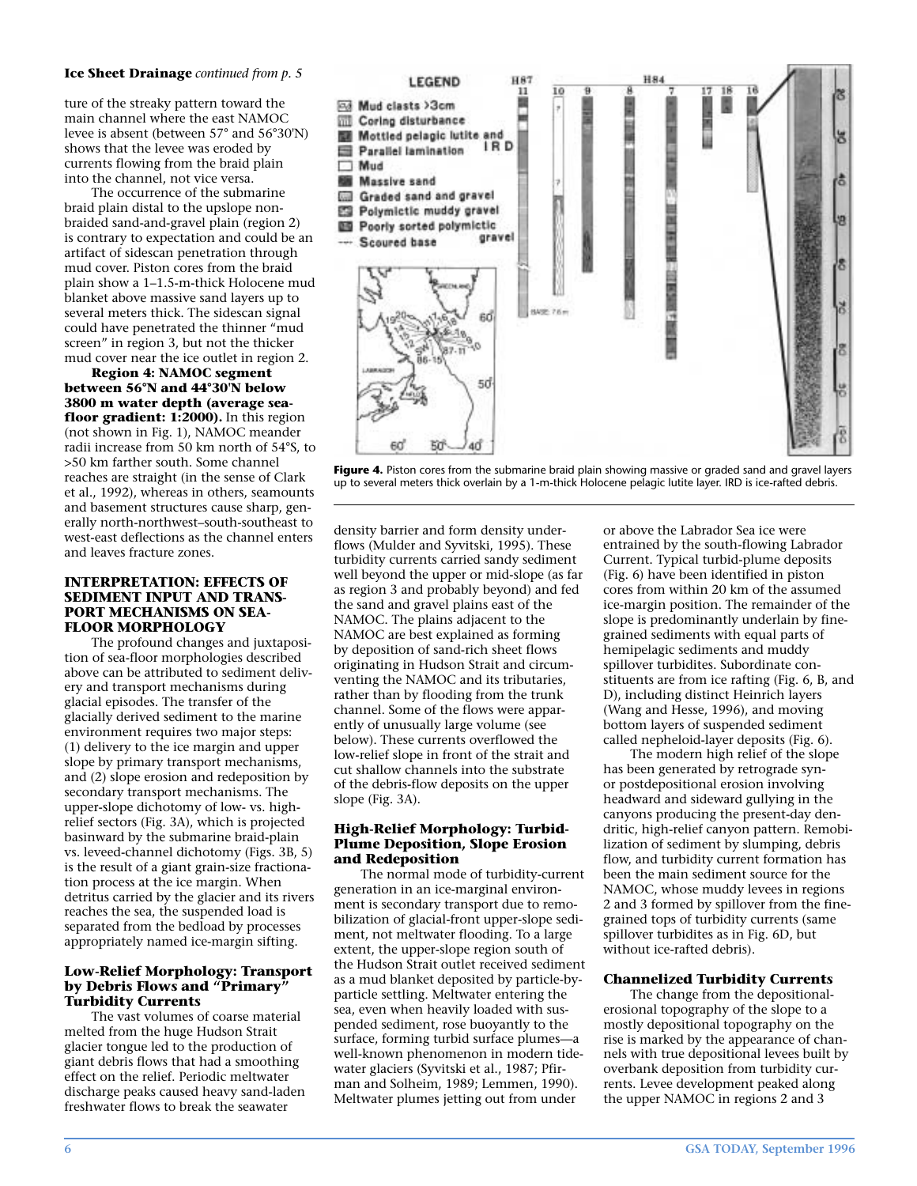#### **Ice Sheet Drainage** *continued from p. 5*

ture of the streaky pattern toward the main channel where the east NAMOC levee is absent (between 57° and 56°30'N) shows that the levee was eroded by currents flowing from the braid plain into the channel, not vice versa.

The occurrence of the submarine braid plain distal to the upslope nonbraided sand-and-gravel plain (region 2) is contrary to expectation and could be an artifact of sidescan penetration through mud cover. Piston cores from the braid plain show a 1–1.5-m-thick Holocene mud blanket above massive sand layers up to several meters thick. The sidescan signal could have penetrated the thinner "mud screen" in region 3, but not the thicker mud cover near the ice outlet in region 2.

**Region 4: NAMOC segment between 56°N and 44°30'N below 3800 m water depth (average seafloor gradient: 1:2000).** In this region (not shown in Fig. 1), NAMOC meander radii increase from 50 km north of 54°S, to >50 km farther south. Some channel reaches are straight (in the sense of Clark et al., 1992), whereas in others, seamounts and basement structures cause sharp, generally north-northwest–south-southeast to west-east deflections as the channel enters and leaves fracture zones.

#### **INTERPRETATION: EFFECTS OF SEDIMENT INPUT AND TRANS-PORT MECHANISMS ON SEA-FLOOR MORPHOLOGY**

The profound changes and juxtaposition of sea-floor morphologies described above can be attributed to sediment delivery and transport mechanisms during glacial episodes. The transfer of the glacially derived sediment to the marine environment requires two major steps: (1) delivery to the ice margin and upper slope by primary transport mechanisms, and (2) slope erosion and redeposition by secondary transport mechanisms. The upper-slope dichotomy of low- vs. highrelief sectors (Fig. 3A), which is projected basinward by the submarine braid-plain vs. leveed-channel dichotomy (Figs. 3B, 5) is the result of a giant grain-size fractionation process at the ice margin. When detritus carried by the glacier and its rivers reaches the sea, the suspended load is separated from the bedload by processes appropriately named ice-margin sifting.

#### **Low-Relief Morphology: Transport by Debris Flows and "Primary" Turbidity Currents**

The vast volumes of coarse material melted from the huge Hudson Strait glacier tongue led to the production of giant debris flows that had a smoothing effect on the relief. Periodic meltwater discharge peaks caused heavy sand-laden freshwater flows to break the seawater



**Figure 4.** Piston cores from the submarine braid plain showing massive or graded sand and gravel layers up to several meters thick overlain by a 1-m-thick Holocene pelagic lutite layer. IRD is ice-rafted debris.

density barrier and form density underflows (Mulder and Syvitski, 1995). These turbidity currents carried sandy sediment well beyond the upper or mid-slope (as far as region 3 and probably beyond) and fed the sand and gravel plains east of the NAMOC. The plains adjacent to the NAMOC are best explained as forming by deposition of sand-rich sheet flows originating in Hudson Strait and circumventing the NAMOC and its tributaries, rather than by flooding from the trunk channel. Some of the flows were apparently of unusually large volume (see below). These currents overflowed the low-relief slope in front of the strait and cut shallow channels into the substrate of the debris-flow deposits on the upper slope (Fig. 3A).

#### **High-Relief Morphology: Turbid-Plume Deposition, Slope Erosion and Redeposition**

The normal mode of turbidity-current generation in an ice-marginal environment is secondary transport due to remobilization of glacial-front upper-slope sediment, not meltwater flooding. To a large extent, the upper-slope region south of the Hudson Strait outlet received sediment as a mud blanket deposited by particle-byparticle settling. Meltwater entering the sea, even when heavily loaded with suspended sediment, rose buoyantly to the surface, forming turbid surface plumes—a well-known phenomenon in modern tidewater glaciers (Syvitski et al., 1987; Pfirman and Solheim, 1989; Lemmen, 1990). Meltwater plumes jetting out from under

or above the Labrador Sea ice were entrained by the south-flowing Labrador Current. Typical turbid-plume deposits (Fig. 6) have been identified in piston cores from within 20 km of the assumed ice-margin position. The remainder of the slope is predominantly underlain by finegrained sediments with equal parts of hemipelagic sediments and muddy spillover turbidites. Subordinate constituents are from ice rafting (Fig. 6, B, and D), including distinct Heinrich layers (Wang and Hesse, 1996), and moving bottom layers of suspended sediment called nepheloid-layer deposits (Fig. 6).

The modern high relief of the slope has been generated by retrograde synor postdepositional erosion involving headward and sideward gullying in the canyons producing the present-day dendritic, high-relief canyon pattern. Remobilization of sediment by slumping, debris flow, and turbidity current formation has been the main sediment source for the NAMOC, whose muddy levees in regions 2 and 3 formed by spillover from the finegrained tops of turbidity currents (same spillover turbidites as in Fig. 6D, but without ice-rafted debris).

#### **Channelized Turbidity Currents**

The change from the depositionalerosional topography of the slope to a mostly depositional topography on the rise is marked by the appearance of channels with true depositional levees built by overbank deposition from turbidity currents. Levee development peaked along the upper NAMOC in regions 2 and 3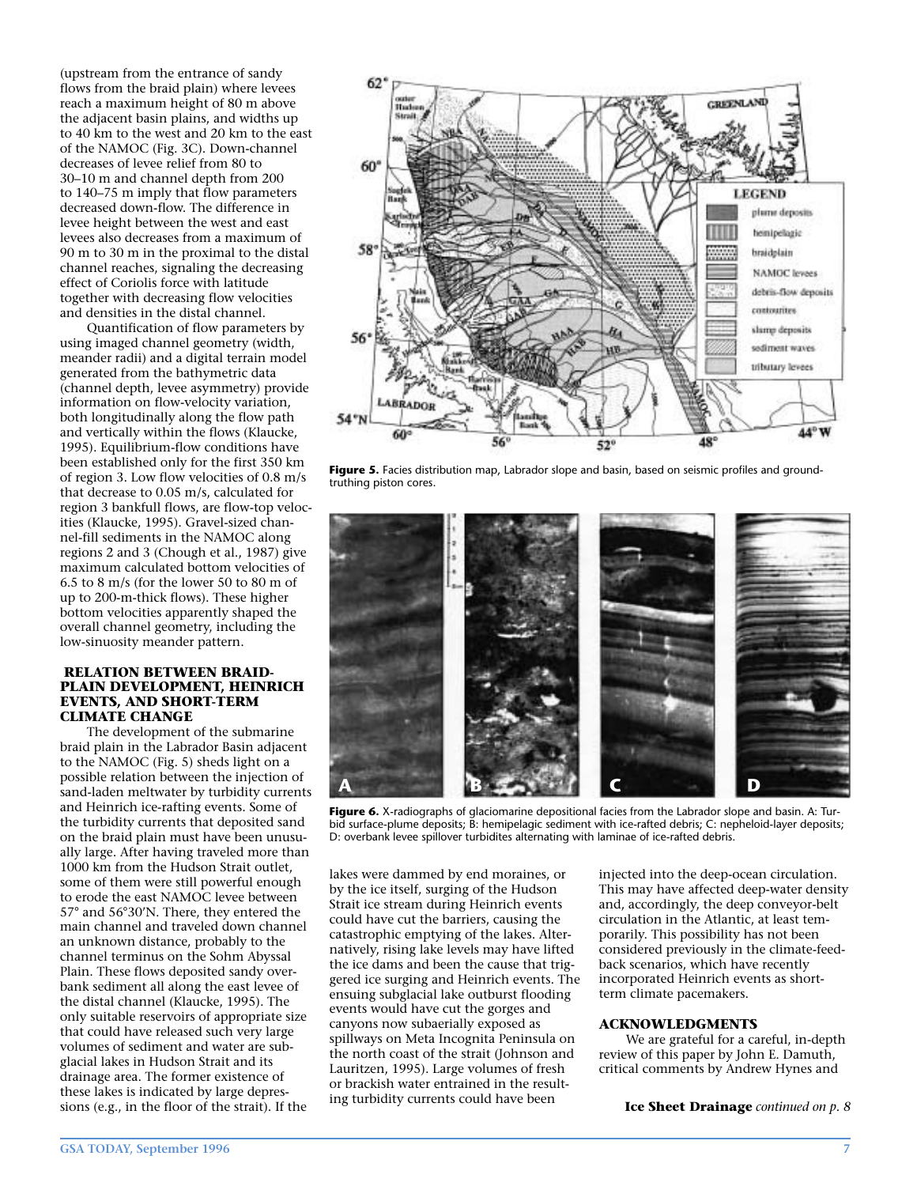(upstream from the entrance of sandy flows from the braid plain) where levees reach a maximum height of 80 m above the adjacent basin plains, and widths up to 40 km to the west and 20 km to the east of the NAMOC (Fig. 3C). Down-channel decreases of levee relief from 80 to 30–10 m and channel depth from 200 to 140–75 m imply that flow parameters decreased down-flow. The difference in levee height between the west and east levees also decreases from a maximum of 90 m to 30 m in the proximal to the distal channel reaches, signaling the decreasing effect of Coriolis force with latitude together with decreasing flow velocities and densities in the distal channel.

Quantification of flow parameters by using imaged channel geometry (width, meander radii) and a digital terrain model generated from the bathymetric data (channel depth, levee asymmetry) provide information on flow-velocity variation, both longitudinally along the flow path and vertically within the flows (Klaucke, 1995). Equilibrium-flow conditions have been established only for the first 350 km of region 3. Low flow velocities of 0.8 m/s that decrease to 0.05 m/s, calculated for region 3 bankfull flows, are flow-top velocities (Klaucke, 1995). Gravel-sized channel-fill sediments in the NAMOC along regions 2 and 3 (Chough et al., 1987) give maximum calculated bottom velocities of 6.5 to 8 m/s (for the lower 50 to 80 m of up to 200-m-thick flows). These higher bottom velocities apparently shaped the overall channel geometry, including the low-sinuosity meander pattern.

#### **RELATION BETWEEN BRAID-PLAIN DEVELOPMENT, HEINRICH EVENTS, AND SHORT-TERM CLIMATE CHANGE**

The development of the submarine braid plain in the Labrador Basin adjacent to the NAMOC (Fig. 5) sheds light on a possible relation between the injection of sand-laden meltwater by turbidity currents and Heinrich ice-rafting events. Some of the turbidity currents that deposited sand on the braid plain must have been unusually large. After having traveled more than 1000 km from the Hudson Strait outlet, some of them were still powerful enough to erode the east NAMOC levee between 57° and 56°30'N. There, they entered the main channel and traveled down channel an unknown distance, probably to the channel terminus on the Sohm Abyssal Plain. These flows deposited sandy overbank sediment all along the east levee of the distal channel (Klaucke, 1995). The only suitable reservoirs of appropriate size that could have released such very large volumes of sediment and water are subglacial lakes in Hudson Strait and its drainage area. The former existence of these lakes is indicated by large depressions (e.g., in the floor of the strait). If the



**Figure 5.** Facies distribution map, Labrador slope and basin, based on seismic profiles and groundtruthing piston cores.



**Figure 6.** X-radiographs of glaciomarine depositional facies from the Labrador slope and basin. A: Turbid surface-plume deposits; B: hemipelagic sediment with ice-rafted debris; C: nepheloid-layer deposits; D: overbank levee spillover turbidites alternating with laminae of ice-rafted debris.

lakes were dammed by end moraines, or by the ice itself, surging of the Hudson Strait ice stream during Heinrich events could have cut the barriers, causing the catastrophic emptying of the lakes. Alternatively, rising lake levels may have lifted the ice dams and been the cause that triggered ice surging and Heinrich events. The ensuing subglacial lake outburst flooding events would have cut the gorges and canyons now subaerially exposed as spillways on Meta Incognita Peninsula on the north coast of the strait (Johnson and Lauritzen, 1995). Large volumes of fresh or brackish water entrained in the resulting turbidity currents could have been

injected into the deep-ocean circulation. This may have affected deep-water density and, accordingly, the deep conveyor-belt circulation in the Atlantic, at least temporarily. This possibility has not been considered previously in the climate-feedback scenarios, which have recently incorporated Heinrich events as shortterm climate pacemakers.

#### **ACKNOWLEDGMENTS**

We are grateful for a careful, in-depth review of this paper by John E. Damuth, critical comments by Andrew Hynes and

**Ice Sheet Drainage** *continued on p. 8*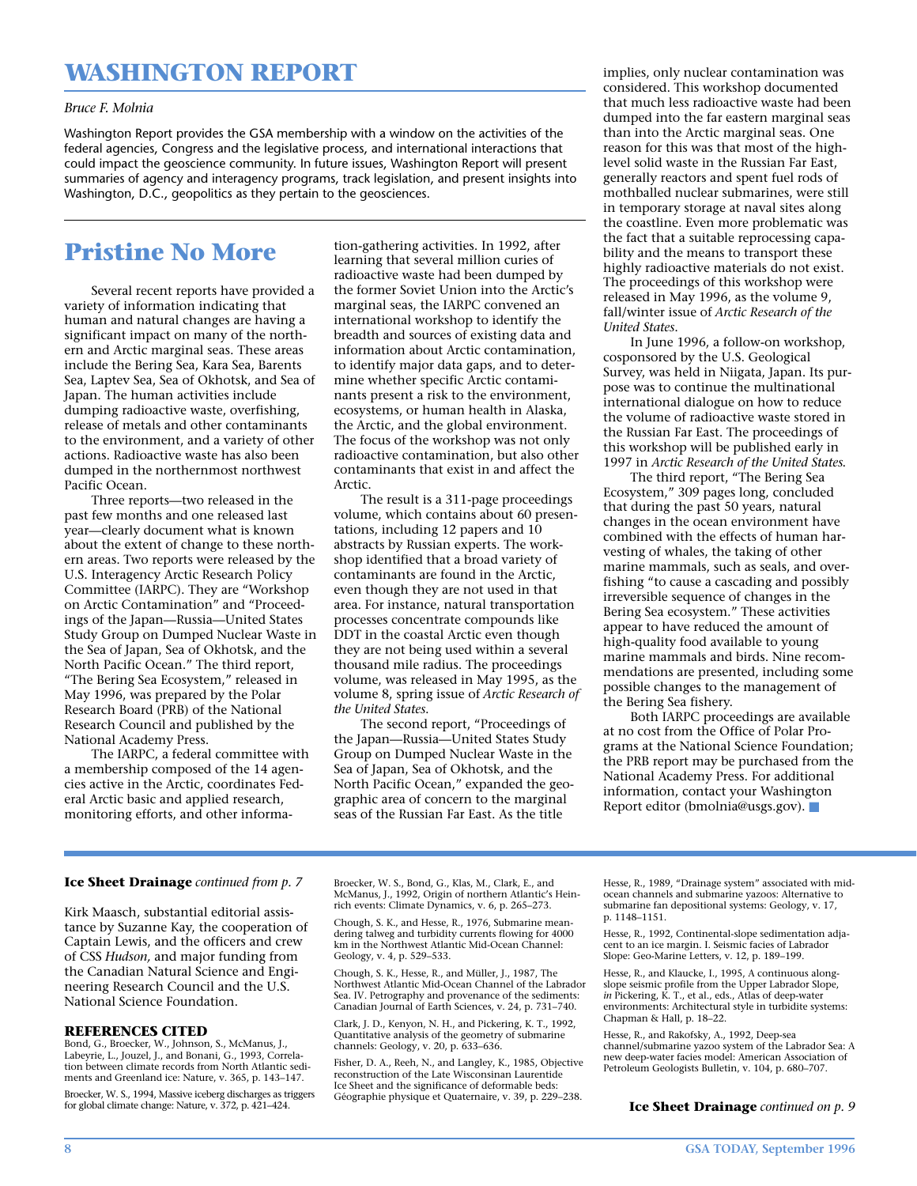# **WASHINGTON REPORT**

#### *Bruce F. Molnia*

Washington Report provides the GSA membership with a window on the activities of the federal agencies, Congress and the legislative process, and international interactions that could impact the geoscience community. In future issues, Washington Report will present summaries of agency and interagency programs, track legislation, and present insights into Washington, D.C., geopolitics as they pertain to the geosciences.

## **Pristine No More**

Several recent reports have provided a variety of information indicating that human and natural changes are having a significant impact on many of the northern and Arctic marginal seas. These areas include the Bering Sea, Kara Sea, Barents Sea, Laptev Sea, Sea of Okhotsk, and Sea of Japan. The human activities include dumping radioactive waste, overfishing, release of metals and other contaminants to the environment, and a variety of other actions. Radioactive waste has also been dumped in the northernmost northwest Pacific Ocean.

Three reports—two released in the past few months and one released last year—clearly document what is known about the extent of change to these northern areas. Two reports were released by the U.S. Interagency Arctic Research Policy Committee (IARPC). They are "Workshop on Arctic Contamination" and "Proceedings of the Japan—Russia—United States Study Group on Dumped Nuclear Waste in the Sea of Japan, Sea of Okhotsk, and the North Pacific Ocean." The third report, "The Bering Sea Ecosystem," released in May 1996, was prepared by the Polar Research Board (PRB) of the National Research Council and published by the National Academy Press.

The IARPC, a federal committee with a membership composed of the 14 agencies active in the Arctic, coordinates Federal Arctic basic and applied research, monitoring efforts, and other information-gathering activities. In 1992, after learning that several million curies of radioactive waste had been dumped by the former Soviet Union into the Arctic's marginal seas, the IARPC convened an international workshop to identify the breadth and sources of existing data and information about Arctic contamination, to identify major data gaps, and to determine whether specific Arctic contaminants present a risk to the environment, ecosystems, or human health in Alaska, the Arctic, and the global environment. The focus of the workshop was not only radioactive contamination, but also other contaminants that exist in and affect the Arctic.

The result is a 311-page proceedings volume, which contains about 60 presentations, including 12 papers and 10 abstracts by Russian experts. The workshop identified that a broad variety of contaminants are found in the Arctic, even though they are not used in that area. For instance, natural transportation processes concentrate compounds like DDT in the coastal Arctic even though they are not being used within a several thousand mile radius. The proceedings volume, was released in May 1995, as the volume 8, spring issue of *Arctic Research of the United States*.

The second report, "Proceedings of the Japan—Russia—United States Study Group on Dumped Nuclear Waste in the Sea of Japan, Sea of Okhotsk, and the North Pacific Ocean," expanded the geographic area of concern to the marginal seas of the Russian Far East. As the title

implies, only nuclear contamination was considered. This workshop documented that much less radioactive waste had been dumped into the far eastern marginal seas than into the Arctic marginal seas. One reason for this was that most of the highlevel solid waste in the Russian Far East, generally reactors and spent fuel rods of mothballed nuclear submarines, were still in temporary storage at naval sites along the coastline. Even more problematic was the fact that a suitable reprocessing capability and the means to transport these highly radioactive materials do not exist. The proceedings of this workshop were released in May 1996, as the volume 9, fall/winter issue of *Arctic Research of the United States*.

In June 1996, a follow-on workshop, cosponsored by the U.S. Geological Survey, was held in Niigata, Japan. Its purpose was to continue the multinational international dialogue on how to reduce the volume of radioactive waste stored in the Russian Far East. The proceedings of this workshop will be published early in 1997 in *Arctic Research of the United States*.

The third report, "The Bering Sea Ecosystem," 309 pages long, concluded that during the past 50 years, natural changes in the ocean environment have combined with the effects of human harvesting of whales, the taking of other marine mammals, such as seals, and overfishing "to cause a cascading and possibly irreversible sequence of changes in the Bering Sea ecosystem." These activities appear to have reduced the amount of high-quality food available to young marine mammals and birds. Nine recommendations are presented, including some possible changes to the management of the Bering Sea fishery.

Both IARPC proceedings are available at no cost from the Office of Polar Programs at the National Science Foundation; the PRB report may be purchased from the National Academy Press. For additional information, contact your Washington Report editor (bmolnia@usgs.gov). ■

#### **Ice Sheet Drainage** *continued from p. 7*

Kirk Maasch, substantial editorial assistance by Suzanne Kay, the cooperation of Captain Lewis, and the officers and crew of CSS *Hudson,* and major funding from the Canadian Natural Science and Engineering Research Council and the U.S. National Science Foundation.

#### **REFERENCES CITED**

Bond, G., Broecker, W., Johnson, S., McManus, J., Labeyrie, L., Jouzel, J., and Bonani, G., 1993, Correlation between climate records from North Atlantic sediments and Greenland ice: Nature, v. 365, p. 143–147. Broecker, W. S., 1994, Massive iceberg discharges as triggers

for global climate change: Nature, v. 372, p. 421–424.

Broecker, W. S., Bond, G., Klas, M., Clark, E., and McManus, J., 1992, Origin of northern Atlantic's Heinrich events: Climate Dynamics, v. 6, p. 265–273.

Chough, S. K., and Hesse, R., 1976, Submarine mean-dering talweg and turbidity currents flowing for 4000 km in the Northwest Atlantic Mid-Ocean Channel: Geology, v. 4, p. 529–533.

Chough, S. K., Hesse, R., and Müller, J., 1987, The Northwest Atlantic Mid-Ocean Channel of the Labrador Sea. IV. Petrography and provenance of the sediments: Canadian Journal of Earth Sciences, v. 24, p. 731–740.

Clark, J. D., Kenyon, N. H., and Pickering, K. T., 1992, Quantitative analysis of the geometry of submarine channels: Geology, v. 20, p. 633–636.

Fisher, D. A., Reeh, N., and Langley, K., 1985, Objective reconstruction of the Late Wisconsinan Laurentide Ice Sheet and the significance of deformable beds: Géographie physique et Quaternaire, v. 39, p. 229–238.

Hesse, R., 1989, "Drainage system" associated with midocean channels and submarine yazoos: Alternative to submarine fan depositional systems: Geology, v. 17, p. 1148–1151.

Hesse, R., 1992, Continental-slope sedimentation adjacent to an ice margin. I. Seismic facies of Labrador Slope: Geo-Marine Letters, v. 12, p. 189–199.

Hesse, R., and Klaucke, I., 1995, A continuous alongslope seismic profile from the Upper Labrador Slope, *in* Pickering, K. T., et al., eds., Atlas of deep-water environments: Architectural style in turbidite systems: Chapman & Hall, p. 18–22.

Hesse, R., and Rakofsky, A., 1992, Deep-sea channel/submarine yazoo system of the Labrador Sea: A new deep-water facies model: American Association of Petroleum Geologists Bulletin, v. 104, p. 680–707.

#### **Ice Sheet Drainage** *continued on p. 9*